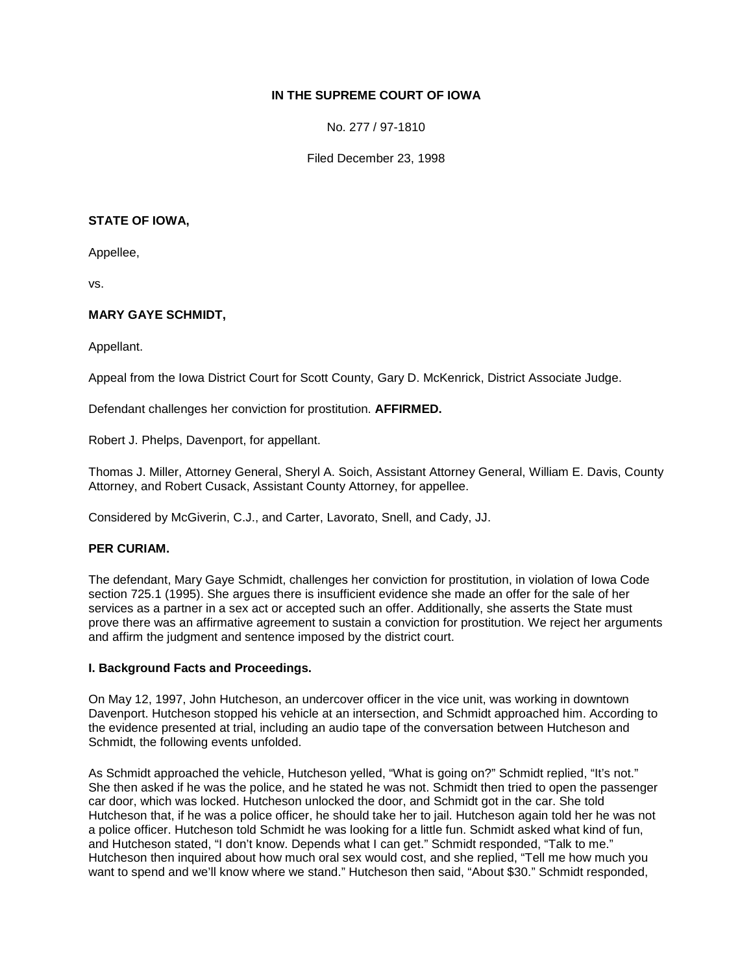## **IN THE SUPREME COURT OF IOWA**

No. 277 / 97-1810

Filed December 23, 1998

#### **STATE OF IOWA,**

Appellee,

vs.

# **MARY GAYE SCHMIDT,**

Appellant.

Appeal from the Iowa District Court for Scott County, Gary D. McKenrick, District Associate Judge.

Defendant challenges her conviction for prostitution. **AFFIRMED.**

Robert J. Phelps, Davenport, for appellant.

Thomas J. Miller, Attorney General, Sheryl A. Soich, Assistant Attorney General, William E. Davis, County Attorney, and Robert Cusack, Assistant County Attorney, for appellee.

Considered by McGiverin, C.J., and Carter, Lavorato, Snell, and Cady, JJ.

## **PER CURIAM.**

The defendant, Mary Gaye Schmidt, challenges her conviction for prostitution, in violation of Iowa Code section 725.1 (1995). She argues there is insufficient evidence she made an offer for the sale of her services as a partner in a sex act or accepted such an offer. Additionally, she asserts the State must prove there was an affirmative agreement to sustain a conviction for prostitution. We reject her arguments and affirm the judgment and sentence imposed by the district court.

#### **I. Background Facts and Proceedings.**

On May 12, 1997, John Hutcheson, an undercover officer in the vice unit, was working in downtown Davenport. Hutcheson stopped his vehicle at an intersection, and Schmidt approached him. According to the evidence presented at trial, including an audio tape of the conversation between Hutcheson and Schmidt, the following events unfolded.

As Schmidt approached the vehicle, Hutcheson yelled, "What is going on?" Schmidt replied, "It's not." She then asked if he was the police, and he stated he was not. Schmidt then tried to open the passenger car door, which was locked. Hutcheson unlocked the door, and Schmidt got in the car. She told Hutcheson that, if he was a police officer, he should take her to jail. Hutcheson again told her he was not a police officer. Hutcheson told Schmidt he was looking for a little fun. Schmidt asked what kind of fun, and Hutcheson stated, "I don't know. Depends what I can get." Schmidt responded, "Talk to me." Hutcheson then inquired about how much oral sex would cost, and she replied, "Tell me how much you want to spend and we'll know where we stand." Hutcheson then said, "About \$30." Schmidt responded,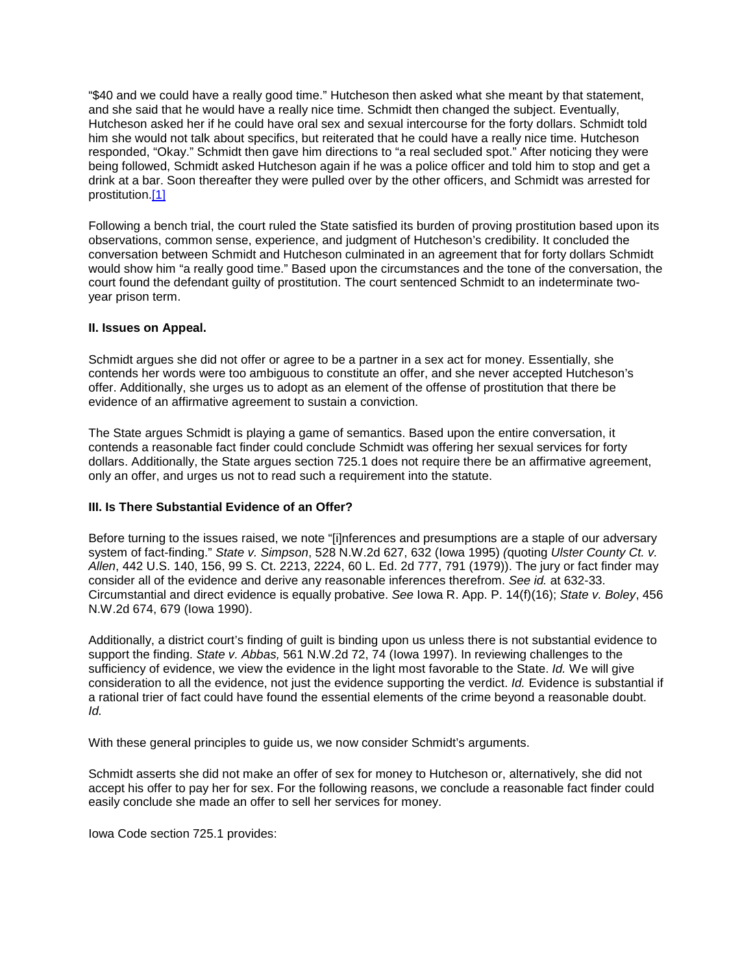"\$40 and we could have a really good time." Hutcheson then asked what she meant by that statement, and she said that he would have a really nice time. Schmidt then changed the subject. Eventually, Hutcheson asked her if he could have oral sex and sexual intercourse for the forty dollars. Schmidt told him she would not talk about specifics, but reiterated that he could have a really nice time. Hutcheson responded, "Okay." Schmidt then gave him directions to "a real secluded spot." After noticing they were being followed, Schmidt asked Hutcheson again if he was a police officer and told him to stop and get a drink at a bar. Soon thereafter they were pulled over by the other officers, and Schmidt was arrested for prostitution[.\[1\]](http://www.iowacourts.gov/About_the_Courts/Supreme_Court/Supreme_Court_Opinions/Recent_Opinions/19981223/97-1810.asp?Printable=true#fn1)

Following a bench trial, the court ruled the State satisfied its burden of proving prostitution based upon its observations, common sense, experience, and judgment of Hutcheson's credibility. It concluded the conversation between Schmidt and Hutcheson culminated in an agreement that for forty dollars Schmidt would show him "a really good time." Based upon the circumstances and the tone of the conversation, the court found the defendant guilty of prostitution. The court sentenced Schmidt to an indeterminate twoyear prison term.

### **II. Issues on Appeal.**

Schmidt argues she did not offer or agree to be a partner in a sex act for money. Essentially, she contends her words were too ambiguous to constitute an offer, and she never accepted Hutcheson's offer. Additionally, she urges us to adopt as an element of the offense of prostitution that there be evidence of an affirmative agreement to sustain a conviction.

The State argues Schmidt is playing a game of semantics. Based upon the entire conversation, it contends a reasonable fact finder could conclude Schmidt was offering her sexual services for forty dollars. Additionally, the State argues section 725.1 does not require there be an affirmative agreement, only an offer, and urges us not to read such a requirement into the statute.

## **III. Is There Substantial Evidence of an Offer?**

Before turning to the issues raised, we note "[i]nferences and presumptions are a staple of our adversary system of fact-finding." *State v. Simpson*, 528 N.W.2d 627, 632 (Iowa 1995) *(*quoting *Ulster County Ct. v. Allen*, 442 U.S. 140, 156, 99 S. Ct. 2213, 2224, 60 L. Ed. 2d 777, 791 (1979)). The jury or fact finder may consider all of the evidence and derive any reasonable inferences therefrom. *See id.* at 632-33. Circumstantial and direct evidence is equally probative. *See* Iowa R. App. P. 14(f)(16); *State v. Boley*, 456 N.W.2d 674, 679 (Iowa 1990).

Additionally, a district court's finding of guilt is binding upon us unless there is not substantial evidence to support the finding. *State v. Abbas,* 561 N.W.2d 72, 74 (Iowa 1997). In reviewing challenges to the sufficiency of evidence, we view the evidence in the light most favorable to the State. *Id.* We will give consideration to all the evidence, not just the evidence supporting the verdict. *Id.* Evidence is substantial if a rational trier of fact could have found the essential elements of the crime beyond a reasonable doubt. *Id.*

With these general principles to guide us, we now consider Schmidt's arguments.

Schmidt asserts she did not make an offer of sex for money to Hutcheson or, alternatively, she did not accept his offer to pay her for sex. For the following reasons, we conclude a reasonable fact finder could easily conclude she made an offer to sell her services for money.

Iowa Code section 725.1 provides: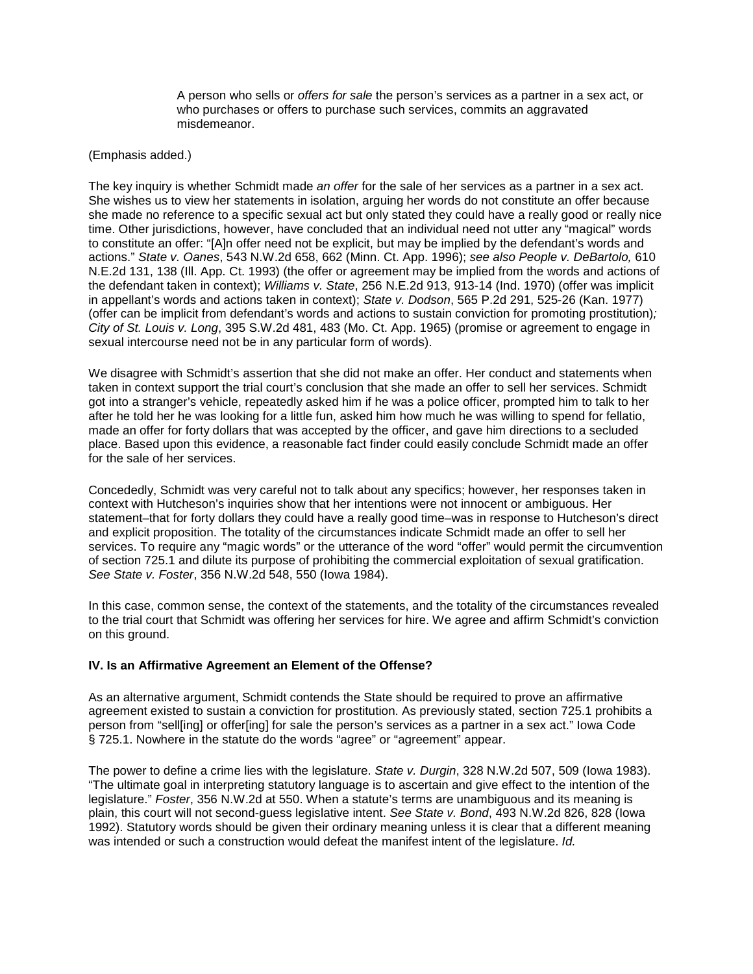A person who sells or *offers for sale* the person's services as a partner in a sex act, or who purchases or offers to purchase such services, commits an aggravated misdemeanor.

#### (Emphasis added.)

The key inquiry is whether Schmidt made *an offer* for the sale of her services as a partner in a sex act. She wishes us to view her statements in isolation, arguing her words do not constitute an offer because she made no reference to a specific sexual act but only stated they could have a really good or really nice time. Other jurisdictions, however, have concluded that an individual need not utter any "magical" words to constitute an offer: "[A]n offer need not be explicit, but may be implied by the defendant's words and actions." *State v. Oanes*, 543 N.W.2d 658, 662 (Minn. Ct. App. 1996); *see also People v. DeBartolo,* 610 N.E.2d 131, 138 (Ill. App. Ct. 1993) (the offer or agreement may be implied from the words and actions of the defendant taken in context); *Williams v. State*, 256 N.E.2d 913, 913-14 (Ind. 1970) (offer was implicit in appellant's words and actions taken in context); *State v. Dodson*, 565 P.2d 291, 525-26 (Kan. 1977) (offer can be implicit from defendant's words and actions to sustain conviction for promoting prostitution)*; City of St. Louis v. Long*, 395 S.W.2d 481, 483 (Mo. Ct. App. 1965) (promise or agreement to engage in sexual intercourse need not be in any particular form of words).

We disagree with Schmidt's assertion that she did not make an offer. Her conduct and statements when taken in context support the trial court's conclusion that she made an offer to sell her services. Schmidt got into a stranger's vehicle, repeatedly asked him if he was a police officer, prompted him to talk to her after he told her he was looking for a little fun, asked him how much he was willing to spend for fellatio, made an offer for forty dollars that was accepted by the officer, and gave him directions to a secluded place. Based upon this evidence, a reasonable fact finder could easily conclude Schmidt made an offer for the sale of her services.

Concededly, Schmidt was very careful not to talk about any specifics; however, her responses taken in context with Hutcheson's inquiries show that her intentions were not innocent or ambiguous. Her statement–that for forty dollars they could have a really good time–was in response to Hutcheson's direct and explicit proposition. The totality of the circumstances indicate Schmidt made an offer to sell her services. To require any "magic words" or the utterance of the word "offer" would permit the circumvention of section 725.1 and dilute its purpose of prohibiting the commercial exploitation of sexual gratification. *See State v. Foster*, 356 N.W.2d 548, 550 (Iowa 1984).

In this case, common sense, the context of the statements, and the totality of the circumstances revealed to the trial court that Schmidt was offering her services for hire. We agree and affirm Schmidt's conviction on this ground.

## **IV. Is an Affirmative Agreement an Element of the Offense?**

As an alternative argument, Schmidt contends the State should be required to prove an affirmative agreement existed to sustain a conviction for prostitution. As previously stated, section 725.1 prohibits a person from "sell[ing] or offer[ing] for sale the person's services as a partner in a sex act." Iowa Code § 725.1. Nowhere in the statute do the words "agree" or "agreement" appear.

The power to define a crime lies with the legislature. *State v. Durgin*, 328 N.W.2d 507, 509 (Iowa 1983). "The ultimate goal in interpreting statutory language is to ascertain and give effect to the intention of the legislature." *Foster*, 356 N.W.2d at 550. When a statute's terms are unambiguous and its meaning is plain, this court will not second-guess legislative intent. *See State v. Bond*, 493 N.W.2d 826, 828 (Iowa 1992). Statutory words should be given their ordinary meaning unless it is clear that a different meaning was intended or such a construction would defeat the manifest intent of the legislature. *Id.*